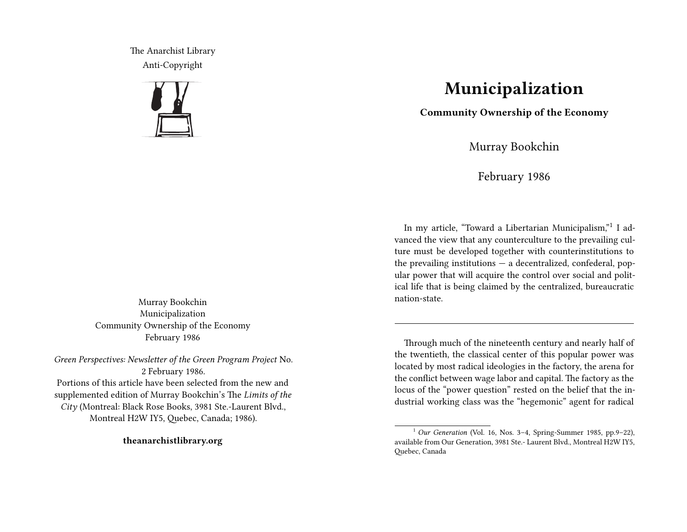The Anarchist Library Anti-Copyright



Murray Bookchin Municipalization Community Ownership of the Economy February 1986

*Green Perspectives: Newsletter of the Green Program Project* No. 2 February 1986. Portions of this article have been selected from the new and supplemented edition of Murray Bookchin's The *Limits of the City* (Montreal: Black Rose Books, 3981 Ste.-Laurent Blvd., Montreal H2W IY5, Quebec, Canada; 1986).

**theanarchistlibrary.org**

## **Municipalization**

**Community Ownership of the Economy**

Murray Bookchin

February 1986

In my article, "Toward a Libertarian Municipalism,"<sup>1</sup> I advanced the view that any counterculture to the prevailing culture must be developed together with counterinstitutions to the prevailing institutions — a decentralized, confederal, popular power that will acquire the control over social and political life that is being claimed by the centralized, bureaucratic nation-state.

Through much of the nineteenth century and nearly half of the twentieth, the classical center of this popular power was located by most radical ideologies in the factory, the arena for the conflict between wage labor and capital. The factory as the locus of the "power question" rested on the belief that the industrial working class was the "hegemonic" agent for radical

<sup>&</sup>lt;sup>1</sup> *Our Generation* (Vol. 16, Nos. 3–4, Spring-Summer 1985, pp.9–22), available from Our Generation, 3981 Ste.- Laurent Blvd., Montreal H2W IY5, Quebec, Canada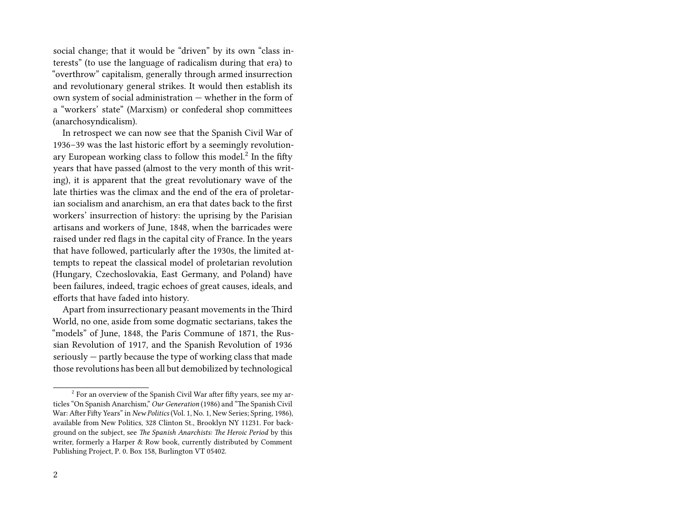social change; that it would be "driven" by its own "class interests" (to use the language of radicalism during that era) to "overthrow" capitalism, generally through armed insurrection and revolutionary general strikes. It would then establish its own system of social administration — whether in the form of a "workers' state" (Marxism) or confederal shop committees (anarchosyndicalism).

In retrospect we can now see that the Spanish Civil War of 1936–39 was the last historic effort by a seemingly revolutionary European working class to follow this model. $^2$  In the fifty years that have passed (almost to the very month of this writing), it is apparent that the great revolutionary wave of the late thirties was the climax and the end of the era of proletarian socialism and anarchism, an era that dates back to the first workers' insurrection of history: the uprising by the Parisian artisans and workers of June, 1848, when the barricades were raised under red flags in the capital city of France. In the years that have followed, particularly after the 1930s, the limited attempts to repeat the classical model of proletarian revolution (Hungary, Czechoslovakia, East Germany, and Poland) have been failures, indeed, tragic echoes of great causes, ideals, and efforts that have faded into history.

Apart from insurrectionary peasant movements in the Third World, no one, aside from some dogmatic sectarians, takes the "models" of June, 1848, the Paris Commune of 1871, the Russian Revolution of 1917, and the Spanish Revolution of 1936 seriously — partly because the type of working class that made those revolutions has been all but demobilized by technological

 $2^{2}$  For an overview of the Spanish Civil War after fifty years, see my articles "On Spanish Anarchism," *Our Generation* (1986) and "The Spanish Civil War: After Fifty Years" in *New Politics* (Vol. 1, No. 1, New Series; Spring, 1986), available from New Politics, 328 Clinton St., Brooklyn NY 11231. For background on the subject, see *The Spanish Anarchists: The Heroic Period* by this writer, formerly a Harper & Row book, currently distributed by Comment Publishing Project, P. 0. Box 158, Burlington VT 05402.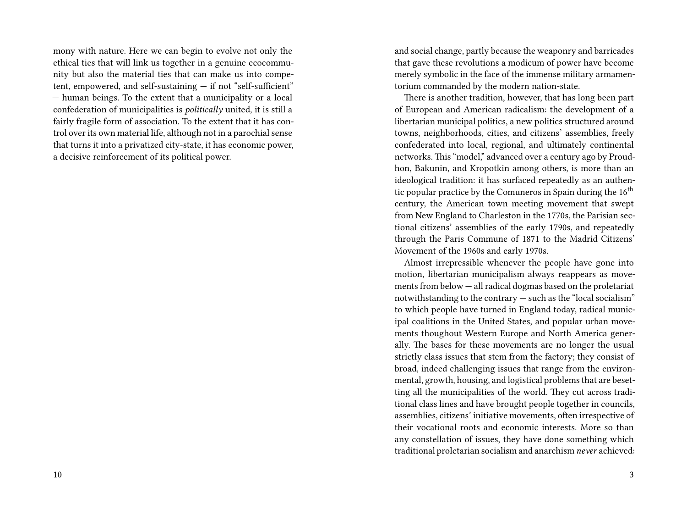mony with nature. Here we can begin to evolve not only the ethical ties that will link us together in a genuine ecocommunity but also the material ties that can make us into competent, empowered, and self-sustaining — if not "self-sufficient" — human beings. To the extent that a municipality or a local confederation of municipalities is *politically* united, it is still a fairly fragile form of association. To the extent that it has control over its own material life, although not in a parochial sense that turns it into a privatized city-state, it has economic power, a decisive reinforcement of its political power.

and social change, partly because the weaponry and barricades that gave these revolutions a modicum of power have become merely symbolic in the face of the immense military armamentorium commanded by the modern nation-state.

There is another tradition, however, that has long been part of European and American radicalism: the development of a libertarian municipal politics, a new politics structured around towns, neighborhoods, cities, and citizens' assemblies, freely confederated into local, regional, and ultimately continental networks. This "model," advanced over a century ago by Proudhon, Bakunin, and Kropotkin among others, is more than an ideological tradition: it has surfaced repeatedly as an authentic popular practice by the Comuneros in Spain during the  $16<sup>th</sup>$ century, the American town meeting movement that swept from New England to Charleston in the 1770s, the Parisian sectional citizens' assemblies of the early 1790s, and repeatedly through the Paris Commune of 1871 to the Madrid Citizens' Movement of the 1960s and early 1970s.

Almost irrepressible whenever the people have gone into motion, libertarian municipalism always reappears as movements from below — all radical dogmas based on the proletariat notwithstanding to the contrary — such as the "local socialism" to which people have turned in England today, radical municipal coalitions in the United States, and popular urban movements thoughout Western Europe and North America generally. The bases for these movements are no longer the usual strictly class issues that stem from the factory; they consist of broad, indeed challenging issues that range from the environmental, growth, housing, and logistical problems that are besetting all the municipalities of the world. They cut across traditional class lines and have brought people together in councils, assemblies, citizens' initiative movements, often irrespective of their vocational roots and economic interests. More so than any constellation of issues, they have done something which traditional proletarian socialism and anarchism *never* achieved: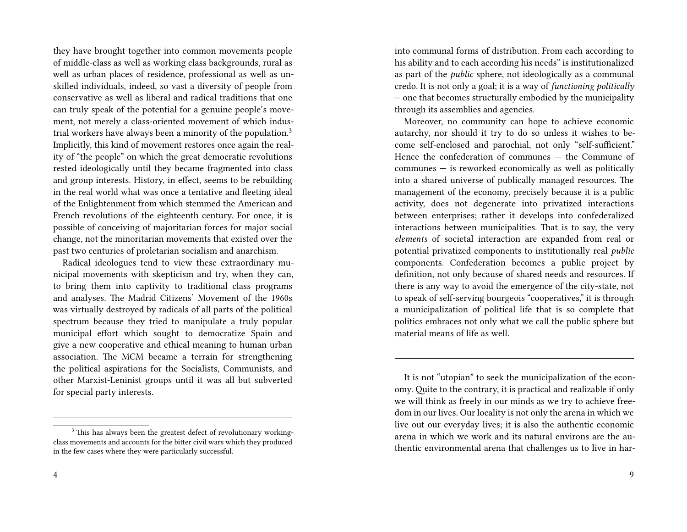they have brought together into common movements people of middle-class as well as working class backgrounds, rural as well as urban places of residence, professional as well as unskilled individuals, indeed, so vast a diversity of people from conservative as well as liberal and radical traditions that one can truly speak of the potential for a genuine people's movement, not merely a class-oriented movement of which industrial workers have always been a minority of the population.<sup>3</sup> Implicitly, this kind of movement restores once again the reality of "the people" on which the great democratic revolutions rested ideologically until they became fragmented into class and group interests. History, in effect, seems to be rebuilding in the real world what was once a tentative and fleeting ideal of the Enlightenment from which stemmed the American and French revolutions of the eighteenth century. For once, it is possible of conceiving of majoritarian forces for major social change, not the minoritarian movements that existed over the past two centuries of proletarian socialism and anarchism.

Radical ideologues tend to view these extraordinary municipal movements with skepticism and try, when they can, to bring them into captivity to traditional class programs and analyses. The Madrid Citizens' Movement of the 1960s was virtually destroyed by radicals of all parts of the political spectrum because they tried to manipulate a truly popular municipal effort which sought to democratize Spain and give a new cooperative and ethical meaning to human urban association. The MCM became a terrain for strengthening the political aspirations for the Socialists, Communists, and other Marxist-Leninist groups until it was all but subverted for special party interests.

into communal forms of distribution. From each according to his ability and to each according his needs" is institutionalized as part of the *public* sphere, not ideologically as a communal credo. It is not only a goal; it is a way of *functioning politically* — one that becomes structurally embodied by the municipality through its assemblies and agencies.

Moreover, no community can hope to achieve economic autarchy, nor should it try to do so unless it wishes to become self-enclosed and parochial, not only "self-sufficient." Hence the confederation of communes — the Commune of communes — is reworked economically as well as politically into a shared universe of publically managed resources. The management of the economy, precisely because it is a public activity, does not degenerate into privatized interactions between enterprises; rather it develops into confederalized interactions between municipalities. That is to say, the very *elements* of societal interaction are expanded from real or potential privatized components to institutionally real *public* components. Confederation becomes a public project by definition, not only because of shared needs and resources. If there is any way to avoid the emergence of the city-state, not to speak of self-serving bourgeois "cooperatives," it is through a municipalization of political life that is so complete that politics embraces not only what we call the public sphere but material means of life as well.

<sup>&</sup>lt;sup>3</sup> This has always been the greatest defect of revolutionary workingclass movements and accounts for the bitter civil wars which they produced in the few cases where they were particularly successful.

It is not "utopian" to seek the municipalization of the economy. Quite to the contrary, it is practical and realizable if only we will think as freely in our minds as we try to achieve freedom in our lives. Our locality is not only the arena in which we live out our everyday lives; it is also the authentic economic arena in which we work and its natural environs are the authentic environmental arena that challenges us to live in har-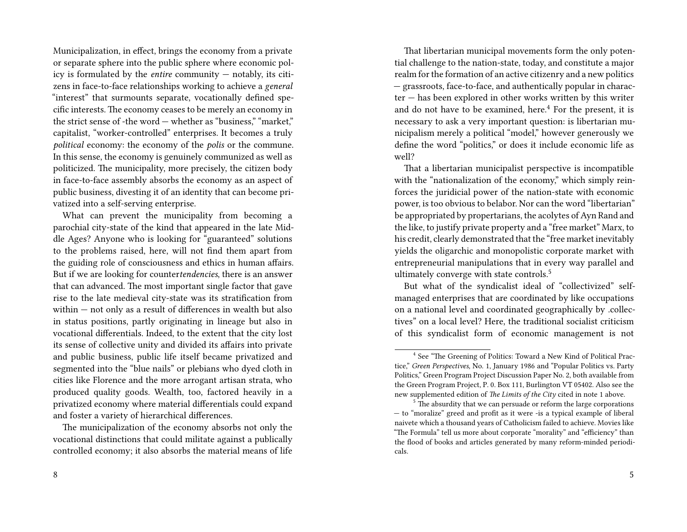Municipalization, in effect, brings the economy from a private or separate sphere into the public sphere where economic policy is formulated by the *entire* community — notably, its citizens in face-to-face relationships working to achieve a *general* "interest" that surmounts separate, vocationally defined specific interests. The economy ceases to be merely an economy in the strict sense of -the word — whether as "business," "market," capitalist, "worker-controlled" enterprises. It becomes a truly *political* economy: the economy of the *polis* or the commune. In this sense, the economy is genuinely communized as well as politicized. The municipality, more precisely, the citizen body in face-to-face assembly absorbs the economy as an aspect of public business, divesting it of an identity that can become privatized into a self-serving enterprise.

What can prevent the municipality from becoming a parochial city-state of the kind that appeared in the late Middle Ages? Anyone who is looking for "guaranteed" solutions to the problems raised, here, will not find them apart from the guiding role of consciousness and ethics in human affairs. But if we are looking for counter*tendencies*, there is an answer that can advanced. The most important single factor that gave rise to the late medieval city-state was its stratification from within — not only as a result of differences in wealth but also in status positions, partly originating in lineage but also in vocational differentials. Indeed, to the extent that the city lost its sense of collective unity and divided its affairs into private and public business, public life itself became privatized and segmented into the "blue nails" or plebians who dyed cloth in cities like Florence and the more arrogant artisan strata, who produced quality goods. Wealth, too, factored heavily in a privatized economy where material differentials could expand and foster a variety of hierarchical differences.

That libertarian municipal movements form the only potential challenge to the nation-state, today, and constitute a major realm for the formation of an active citizenry and a new politics — grassroots, face-to-face, and authentically popular in character — has been explored in other works written by this writer and do not have to be examined, here.<sup>4</sup> For the present, it is necessary to ask a very important question: is libertarian municipalism merely a political "model," however generously we define the word "politics," or does it include economic life as well?

That a libertarian municipalist perspective is incompatible with the "nationalization of the economy," which simply reinforces the juridicial power of the nation-state with economic power, is too obvious to belabor. Nor can the word "libertarian" be appropriated by propertarians, the acolytes of Ayn Rand and the like, to justify private property and a "free market" Marx, to his credit, clearly demonstrated that the "free market inevitably yields the oligarchic and monopolistic corporate market with entrepreneurial manipulations that in every way parallel and ultimately converge with state controls.<sup>5</sup>

But what of the syndicalist ideal of "collectivized" selfmanaged enterprises that are coordinated by like occupations on a national level and coordinated geographically by .collectives" on a local level? Here, the traditional socialist criticism of this syndicalist form of economic management is not

The municipalization of the economy absorbs not only the vocational distinctions that could militate against a publically controlled economy; it also absorbs the material means of life

<sup>&</sup>lt;sup>4</sup> See "The Greening of Politics: Toward a New Kind of Political Practice," *Green Perspectives,* No. 1, January 1986 and "Popular Politics vs. Party Politics," Green Program Project Discussion Paper No. 2, both available from the Green Program Project, P. 0. Box 111, Burlington VT 05402. Also see the new supplemented edition of *The Limits of the City* cited in note 1 above.

<sup>&</sup>lt;sup>5</sup> The absurdity that we can persuade or reform the large corporations — to "moralize" greed and profit as it were -is a typical example of liberal naivete which a thousand years of Catholicism failed to achieve. Movies like "The Formula" tell us more about corporate "morality" and "efficiency" than the flood of books and articles generated by many reform-minded periodicals.